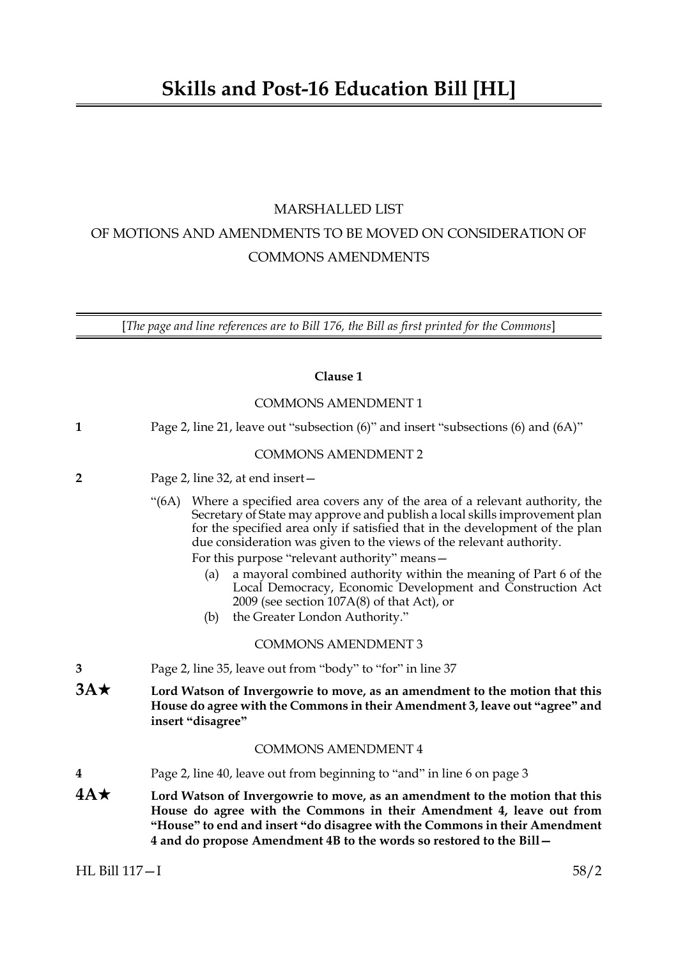# MARSHALLED LIST OF MOTIONS AND AMENDMENTS TO BE MOVED ON CONSIDERATION OF COMMONS AMENDMENTS

[*The page and line references are to Bill 176, the Bill as first printed for the Commons*]

## **Clause 1**

|              | <b>COMMONS AMENDMENT 1</b>                                                                                                                                                                                                                                                                                                                                                                                                                                                                                                                                                                              |
|--------------|---------------------------------------------------------------------------------------------------------------------------------------------------------------------------------------------------------------------------------------------------------------------------------------------------------------------------------------------------------------------------------------------------------------------------------------------------------------------------------------------------------------------------------------------------------------------------------------------------------|
| $\mathbf{1}$ | Page 2, line 21, leave out "subsection (6)" and insert "subsections (6) and (6A)"                                                                                                                                                                                                                                                                                                                                                                                                                                                                                                                       |
|              | <b>COMMONS AMENDMENT 2</b>                                                                                                                                                                                                                                                                                                                                                                                                                                                                                                                                                                              |
| $\mathbf{2}$ | Page 2, line 32, at end insert -                                                                                                                                                                                                                                                                                                                                                                                                                                                                                                                                                                        |
|              | "(6A) Where a specified area covers any of the area of a relevant authority, the<br>Secretary of State may approve and publish a local skills improvement plan<br>for the specified area only if satisfied that in the development of the plan<br>due consideration was given to the views of the relevant authority.<br>For this purpose "relevant authority" means-<br>a mayoral combined authority within the meaning of Part 6 of the<br>(a)<br>Local Democracy, Economic Development and Construction Act<br>2009 (see section $107A(8)$ of that Act), or<br>the Greater London Authority."<br>(b) |
|              | <b>COMMONS AMENDMENT 3</b>                                                                                                                                                                                                                                                                                                                                                                                                                                                                                                                                                                              |
| 3            | Page 2, line 35, leave out from "body" to "for" in line 37                                                                                                                                                                                                                                                                                                                                                                                                                                                                                                                                              |
| $3A\star$    | Lord Watson of Invergowrie to move, as an amendment to the motion that this<br>House do agree with the Commons in their Amendment 3, leave out "agree" and<br>insert "disagree"                                                                                                                                                                                                                                                                                                                                                                                                                         |
|              | <b>COMMONS AMENDMENT 4</b>                                                                                                                                                                                                                                                                                                                                                                                                                                                                                                                                                                              |
| 4            | Page 2, line 40, leave out from beginning to "and" in line 6 on page 3                                                                                                                                                                                                                                                                                                                                                                                                                                                                                                                                  |
| $4A\star$    | Lord Watson of Invergowrie to move, as an amendment to the motion that this<br>House do agree with the Commons in their Amendment 4, leave out from<br>"House" to end and insert "do disagree with the Commons in their Amendment<br>4 and do propose Amendment 4B to the words so restored to the Bill -                                                                                                                                                                                                                                                                                               |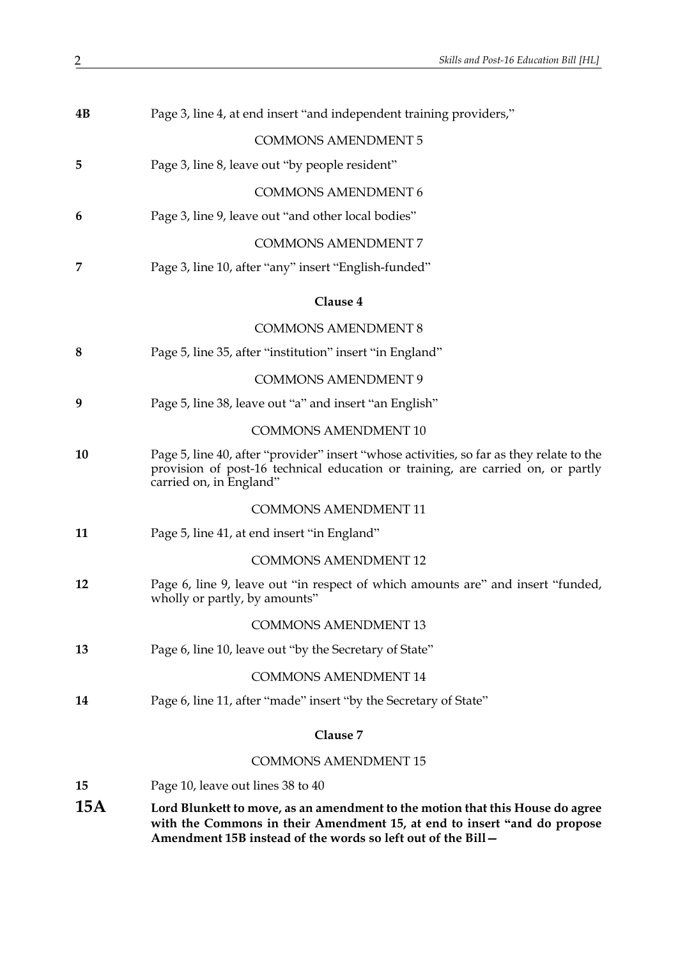| 4B  | Page 3, line 4, at end insert "and independent training providers,"                                                                                                                                                       |
|-----|---------------------------------------------------------------------------------------------------------------------------------------------------------------------------------------------------------------------------|
|     | <b>COMMONS AMENDMENT 5</b>                                                                                                                                                                                                |
| 5   | Page 3, line 8, leave out "by people resident"                                                                                                                                                                            |
|     | <b>COMMONS AMENDMENT 6</b>                                                                                                                                                                                                |
| 6   | Page 3, line 9, leave out "and other local bodies"                                                                                                                                                                        |
|     | <b>COMMONS AMENDMENT 7</b>                                                                                                                                                                                                |
| 7   | Page 3, line 10, after "any" insert "English-funded"                                                                                                                                                                      |
|     | Clause 4                                                                                                                                                                                                                  |
|     | <b>COMMONS AMENDMENT 8</b>                                                                                                                                                                                                |
| 8   | Page 5, line 35, after "institution" insert "in England"                                                                                                                                                                  |
|     | <b>COMMONS AMENDMENT 9</b>                                                                                                                                                                                                |
| 9   | Page 5, line 38, leave out "a" and insert "an English"                                                                                                                                                                    |
|     | <b>COMMONS AMENDMENT 10</b>                                                                                                                                                                                               |
| 10  | Page 5, line 40, after "provider" insert "whose activities, so far as they relate to the<br>provision of post-16 technical education or training, are carried on, or partly<br>carried on, in England"                    |
|     | <b>COMMONS AMENDMENT 11</b>                                                                                                                                                                                               |
| 11  | Page 5, line 41, at end insert "in England"                                                                                                                                                                               |
|     | <b>COMMONS AMENDMENT 12</b>                                                                                                                                                                                               |
| 12  | Page 6, line 9, leave out "in respect of which amounts are" and insert "funded,<br>wholly or partly, by amounts"                                                                                                          |
|     | <b>COMMONS AMENDMENT 13</b>                                                                                                                                                                                               |
| 13  | Page 6, line 10, leave out "by the Secretary of State"                                                                                                                                                                    |
|     | <b>COMMONS AMENDMENT 14</b>                                                                                                                                                                                               |
| 14  | Page 6, line 11, after "made" insert "by the Secretary of State"                                                                                                                                                          |
|     | Clause 7                                                                                                                                                                                                                  |
|     | <b>COMMONS AMENDMENT 15</b>                                                                                                                                                                                               |
| 15  | Page 10, leave out lines 38 to 40                                                                                                                                                                                         |
| 15A | Lord Blunkett to move, as an amendment to the motion that this House do agree<br>with the Commons in their Amendment 15, at end to insert "and do propose<br>Amendment 15B instead of the words so left out of the Bill - |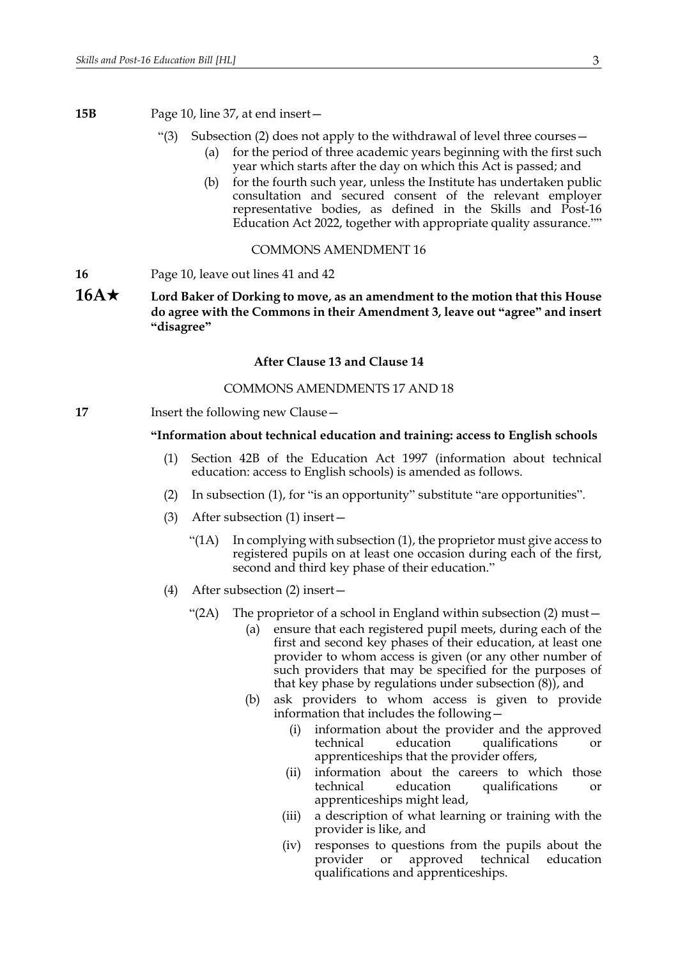**15B** Page 10, line 37, at end insert—

- "(3) Subsection (2) does not apply to the withdrawal of level three courses—
	- (a) for the period of three academic years beginning with the first such year which starts after the day on which this Act is passed; and
		- (b) for the fourth such year, unless the Institute has undertaken public consultation and secured consent of the relevant employer representative bodies, as defined in the Skills and Post-16 Education Act 2022, together with appropriate quality assurance.""

## COMMONS AMENDMENT 16

- **16** Page 10, leave out lines 41 and 42
- **16A★** Lord Baker of Dorking to move, as an amendment to the motion that this House **do agree with the Commons in their Amendment 3, leave out "agree" and insert "disagree"**

## **After Clause 13 and Clause 14**

## COMMONS AMENDMENTS 17 AND 18

**17** Insert the following new Clause —

## **"Information about technical education and training: access to English schools**

- (1) Section 42B of the Education Act 1997 (information about technical education: access to English schools) is amended as follows.
- (2) In subsection (1), for "is an opportunity" substitute "are opportunities".
- (3) After subsection (1) insert—
	- "( $1A$ ) In complying with subsection  $(1)$ , the proprietor must give access to registered pupils on at least one occasion during each of the first, second and third key phase of their education."
- <span id="page-2-0"></span>(4) After subsection (2) insert—
	- "(2A) The proprietor of a school in England within subsection (2) must—
		- (a) ensure that each registered pupil meets, during each of the first and second key phases of their education, at least one provider to whom access is given (or any other number of such providers that may be specified for the purposes of that key phase by regulations under subsection (8)), and
		- (b) ask providers to whom access is given to provide information that includes the following—
			- (i) information about the provider and the approved technical education qualifications or apprenticeships that the provider offers,
			- (ii) information about the careers to which those technical education qualifications or apprenticeships might lead,
			- (iii) a description of what learning or training with the provider is like, and
			- (iv) responses to questions from the pupils about the provider or approved technical education qualifications and apprenticeships.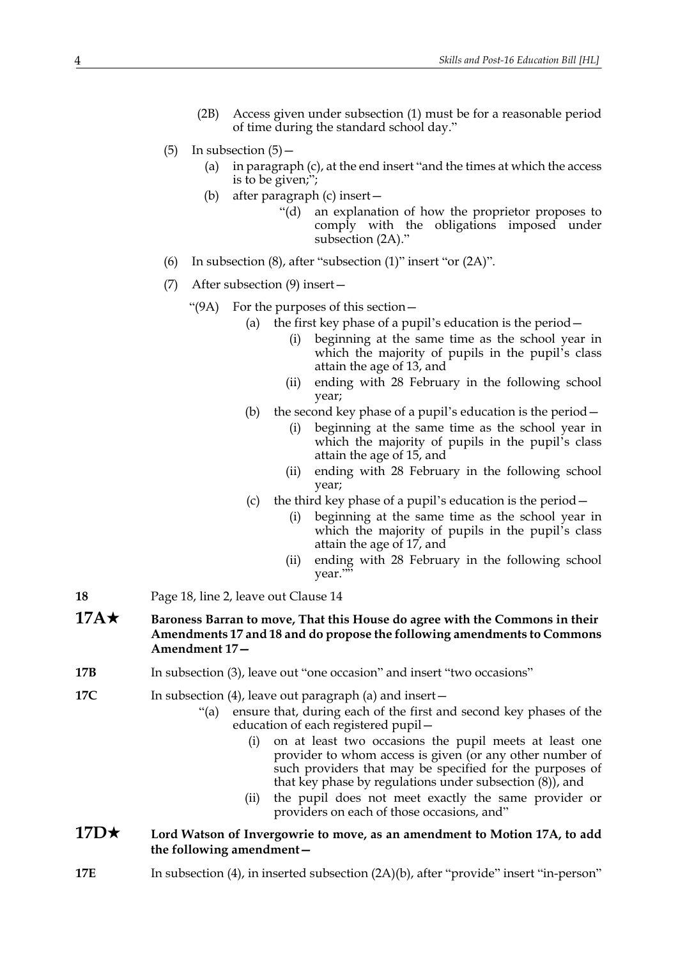- (2B) Access given under subsection (1) must be for a reasonable period of time during the standard school day."
- $(5)$  In subsection  $(5)$ 
	- (a) in paragraph (c), at the end insert "and the times at which the access is to be given;";
	- (b) after paragraph (c) insert—
		- "(d) an explanation of how the proprietor proposes to comply with the obligations imposed under subsection [\(2A\)](#page-2-0)."
- (6) In subsection  $(8)$ , after "subsection  $(1)$ " insert "or  $(2A)$ ".
- (7) After subsection (9) insert—
	- "(9A) For the purposes of this section—
		- (a) the first key phase of a pupil's education is the period  $-$ 
			- (i) beginning at the same time as the school year in which the majority of pupils in the pupil's class attain the age of 13, and
			- (ii) ending with 28 February in the following school year;
			- (b) the second key phase of a pupil's education is the period—
				- (i) beginning at the same time as the school year in which the majority of pupils in the pupil's class attain the age of 15, and
				- (ii) ending with 28 February in the following school year;
			- (c) the third key phase of a pupil's education is the period
				- beginning at the same time as the school year in which the majority of pupils in the pupil's class attain the age of 17, and
				- (ii) ending with 28 February in the following school year.""
- **18** Page 18, line 2, leave out Clause 14
- **17A★** Baroness Barran to move, That this House do agree with the Commons in their **Amendments 17 and 18 and do propose the following amendments to Commons Amendment 17—**
- **17B** In subsection (3), leave out "one occasion" and insert "two occasions"
- **17C** In subsection (4), leave out paragraph (a) and insert—
	- "(a) ensure that, during each of the first and second key phases of the education of each registered pupil—
		- (i) on at least two occasions the pupil meets at least one provider to whom access is given (or any other number of such providers that may be specified for the purposes of that key phase by regulations under subsection (8)), and
		- (ii) the pupil does not meet exactly the same provider or providers on each of those occasions, and"

## **17D★** Lord Watson of Invergowrie to move, as an amendment to Motion 17A, to add **the following amendment—**

**17E** In subsection (4), in inserted subsection (2A)(b), after "provide" insert "in-person"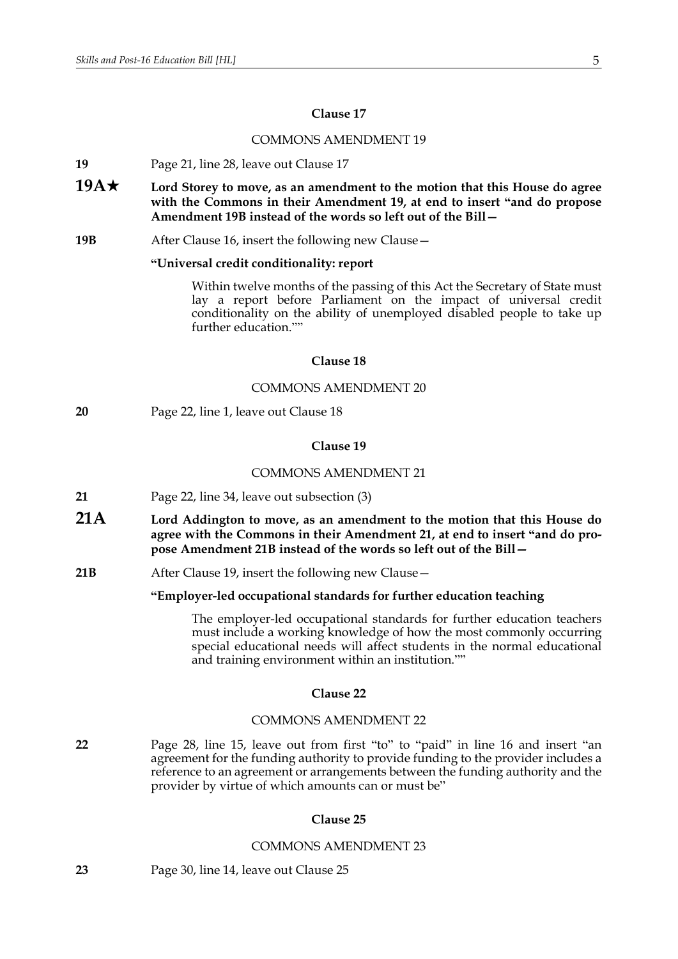## **Clause 17**

## COMMONS AMENDMENT 19

- **19** Page 21, line 28, leave out Clause 17
- **19A★** Lord Storey to move, as an amendment to the motion that this House do agree **with the Commons in their Amendment 19, at end to insert "and do propose Amendment 19B instead of the words so left out of the Bill—**
- **19B** After Clause 16, insert the following new Clause—

## **"Universal credit conditionality: report**

Within twelve months of the passing of this Act the Secretary of State must lay a report before Parliament on the impact of universal credit conditionality on the ability of unemployed disabled people to take up further education.""

## **Clause 18**

## COMMONS AMENDMENT 20

**20** Page 22, line 1, leave out Clause 18

## **Clause 19**

#### COMMONS AMENDMENT 21

- **21** Page 22, line 34, leave out subsection (3)
- **21A Lord Addington to move, as an amendment to the motion that this House do agree with the Commons in their Amendment 21, at end to insert "and do propose Amendment 21B instead of the words so left out of the Bill—**
- **21B** After Clause 19, insert the following new Clause—

## **"Employer-led occupational standards for further education teaching**

The employer-led occupational standards for further education teachers must include a working knowledge of how the most commonly occurring special educational needs will affect students in the normal educational and training environment within an institution.""

## **Clause 22**

## COMMONS AMENDMENT 22

**22** Page 28, line 15, leave out from first "to" to "paid" in line 16 and insert "an agreement for the funding authority to provide funding to the provider includes a reference to an agreement or arrangements between the funding authority and the provider by virtue of which amounts can or must be"

## **Clause 25**

## COMMONS AMENDMENT 23

**23** Page 30, line 14, leave out Clause 25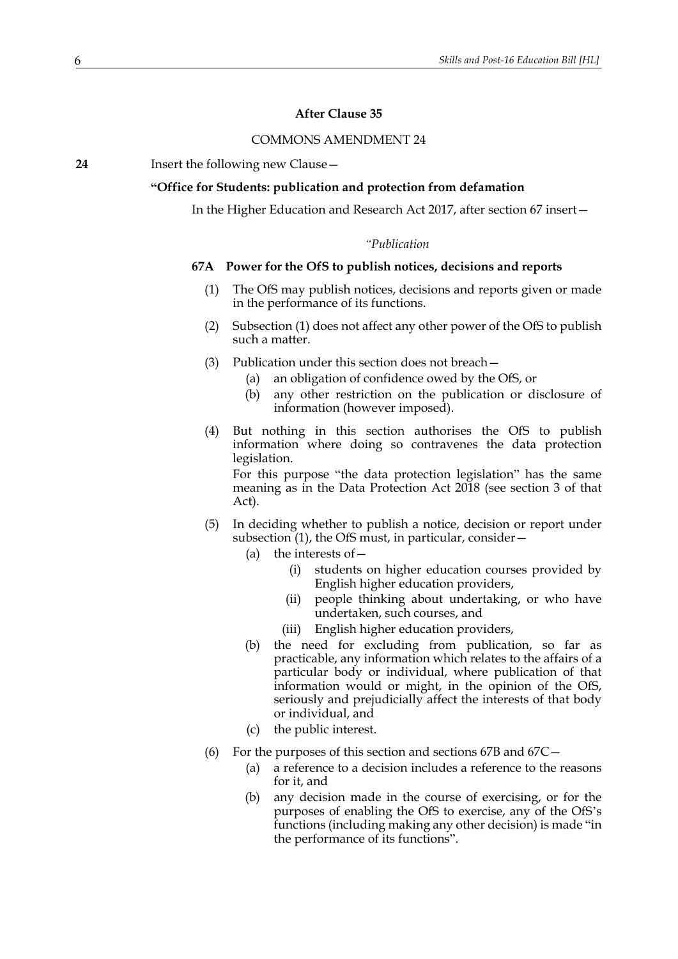## **After Clause 35**

## COMMONS AMENDMENT 24

**24** Insert the following new Clause—

## **"Office for Students: publication and protection from defamation**

In the Higher Education and Research Act 2017, after section 67 insert—

## *"Publication*

## <span id="page-5-1"></span><span id="page-5-0"></span>**67A Power for the OfS to publish notices, decisions and reports**

- (1) The OfS may publish notices, decisions and reports given or made in the performance of its functions.
- (2) Subsection [\(1\)](#page-5-0) does not affect any other power of the OfS to publish such a matter.
- (3) Publication under this section does not breach—
	- (a) an obligation of confidence owed by the OfS, or
	- (b) any other restriction on the publication or disclosure of information (however imposed).
- (4) But nothing in this section authorises the OfS to publish information where doing so contravenes the data protection legislation.

For this purpose "the data protection legislation" has the same meaning as in the Data Protection Act 2018 (see section 3 of that Act).

- (5) In deciding whether to publish a notice, decision or report under subsection [\(1\)](#page-5-0), the OfS must, in particular, consider -
	- (a) the interests of  $-$ 
		- (i) students on higher education courses provided by English higher education providers,
		- (ii) people thinking about undertaking, or who have undertaken, such courses, and
		- (iii) English higher education providers,
	- (b) the need for excluding from publication, so far as practicable, any information which relates to the affairs of a particular body or individual, where publication of that information would or might, in the opinion of the OfS, seriously and prejudicially affect the interests of that body or individual, and
	- (c) the public interest.
- <span id="page-5-2"></span>(6) For the purposes of this section and sections [67B](#page-6-0) and [67C](#page-6-1)—
	- (a) a reference to a decision includes a reference to the reasons for it, and
	- (b) any decision made in the course of exercising, or for the purposes of enabling the OfS to exercise, any of the OfS's functions (including making any other decision) is made "in the performance of its functions".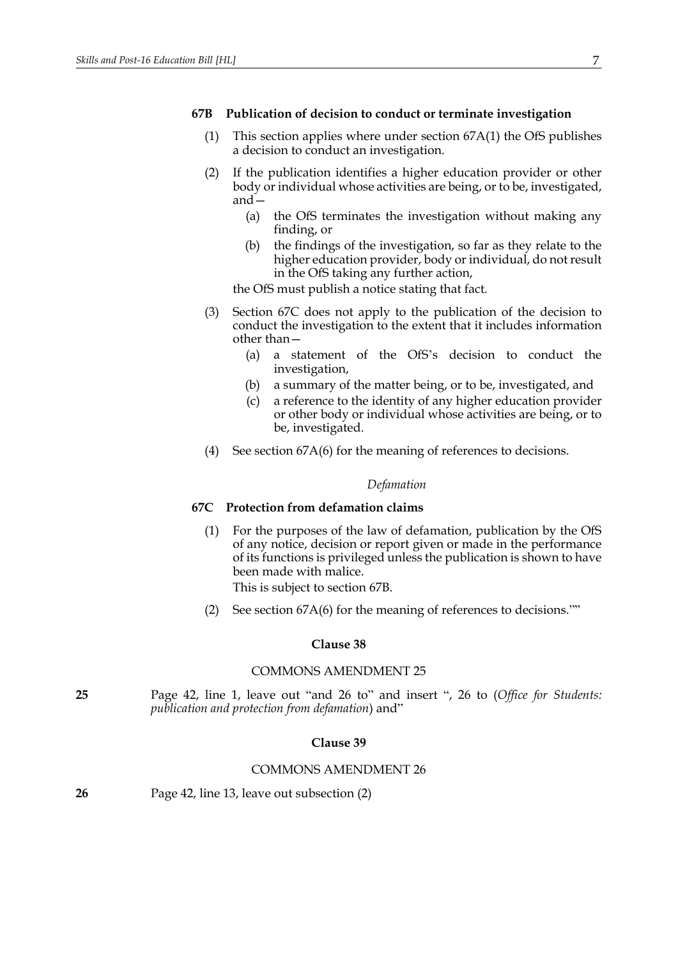#### <span id="page-6-0"></span>**67B Publication of decision to conduct or terminate investigation**

- (1) This section applies where under section [67A](#page-5-1)[\(1\)](#page-5-0) the OfS publishes a decision to conduct an investigation.
- (2) If the publication identifies a higher education provider or other body or individual whose activities are being, or to be, investigated, and—
	- (a) the OfS terminates the investigation without making any finding, or
	- (b) the findings of the investigation, so far as they relate to the higher education provider, body or individual, do not result in the OfS taking any further action,

the OfS must publish a notice stating that fact.

- (3) Section [67C](#page-6-1) does not apply to the publication of the decision to conduct the investigation to the extent that it includes information other than—
	- (a) a statement of the OfS's decision to conduct the investigation,
	- (b) a summary of the matter being, or to be, investigated, and
	- (c) a reference to the identity of any higher education provider or other body or individual whose activities are being, or to be, investigated.
- (4) See section [67A](#page-5-1)[\(6\)](#page-5-2) for the meaning of references to decisions.

## *Defamation*

## <span id="page-6-1"></span>**67C Protection from defamation claims**

(1) For the purposes of the law of defamation, publication by the OfS of any notice, decision or report given or made in the performance of its functions is privileged unless the publication is shown to have been made with malice.

This is subject to section [67B](#page-6-0).

(2) See section [67A](#page-5-1)[\(6\)](#page-5-2) for the meaning of references to decisions.""

## **Clause 38**

## COMMONS AMENDMENT 25

**25** Page 42, line 1, leave out "and 26 to" and insert ", 26 to (*Office for Students: publication and protection from defamation*) and"

## **Clause 39**

## COMMONS AMENDMENT 26

| 26 | Page 42, line 13, leave out subsection (2) |  |
|----|--------------------------------------------|--|
|----|--------------------------------------------|--|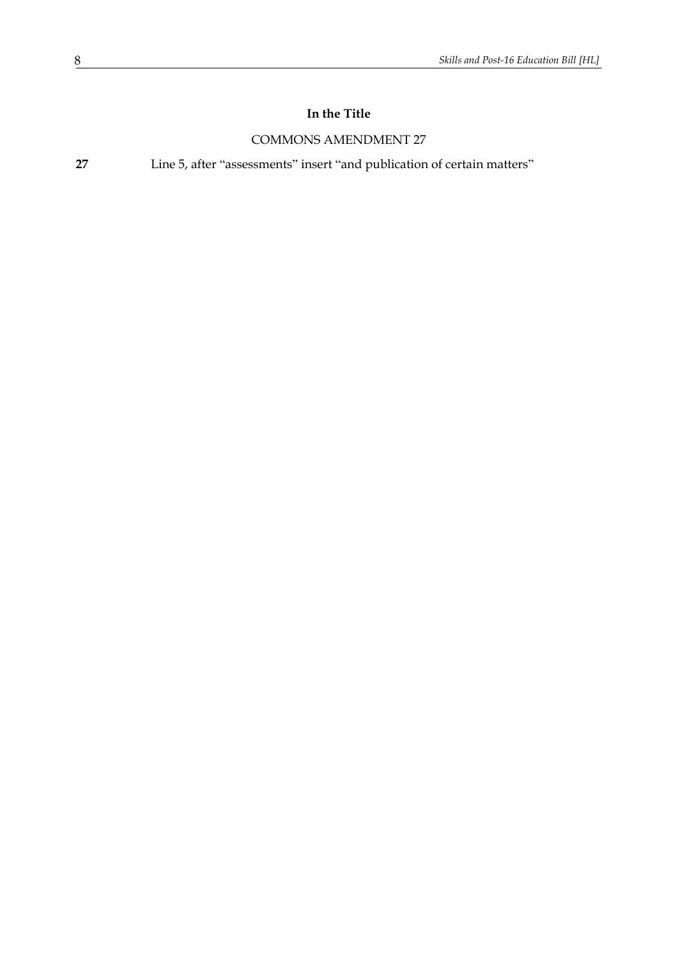## **In the Title**

## COMMONS AMENDMENT 27

**27** Line 5, after "assessments" insert "and publication of certain matters"